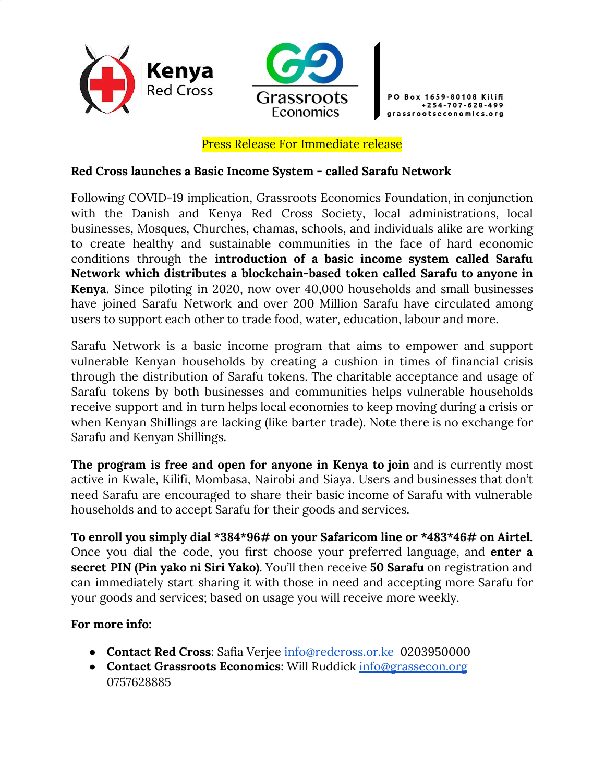



+254-707-628-499

#### Press Release For Immediate release

### **Red Cross launches a Basic Income System - called Sarafu Network**

Following COVID-19 implication, Grassroots Economics Foundation, in conjunction with the Danish and Kenya Red Cross Society, local administrations, local businesses, Mosques, Churches, chamas, schools, and individuals alike are working to create healthy and sustainable communities in the face of hard economic conditions through the **introduction of a basic income system called Sarafu Network which distributes a blockchain-based token called Sarafu to anyone in Kenya**. Since piloting in 2020, now over 40,000 households and small businesses have joined Sarafu Network and over 200 Million Sarafu have circulated among users to support each other to trade food, water, education, labour and more.

Sarafu Network is a basic income program that aims to empower and support vulnerable Kenyan households by creating a cushion in times of financial crisis through the distribution of Sarafu tokens. The charitable acceptance and usage of Sarafu tokens by both businesses and communities helps vulnerable households receive support and in turn helps local economies to keep moving during a crisis or when Kenyan Shillings are lacking (like barter trade). Note there is no exchange for Sarafu and Kenyan Shillings.

**The program is free and open for anyone in Kenya to join** and is currently most active in Kwale, Kilifi, Mombasa, Nairobi and Siaya. Users and businesses that don't need Sarafu are encouraged to share their basic income of Sarafu with vulnerable households and to accept Sarafu for their goods and services.

**To enroll you simply dial \*384\*96# on your Safaricom line or \*483\*46# on Airtel.** Once you dial the code, you first choose your preferred language, and **enter a secret PIN (Pin yako ni Siri Yako)**. You'll then receive **50 Sarafu** on registration and can immediately start sharing it with those in need and accepting more Sarafu for your goods and services; based on usage you will receive more weekly.

### **For more info:**

- **Contact Red Cross**: Safia Verjee [info@redcross.or.ke](mailto:info@redcross.or.ke) 0203950000
- **Contact Grassroots Economics**: Will Ruddick [info@grassecon.org](mailto:info@grassecon.org) 0757628885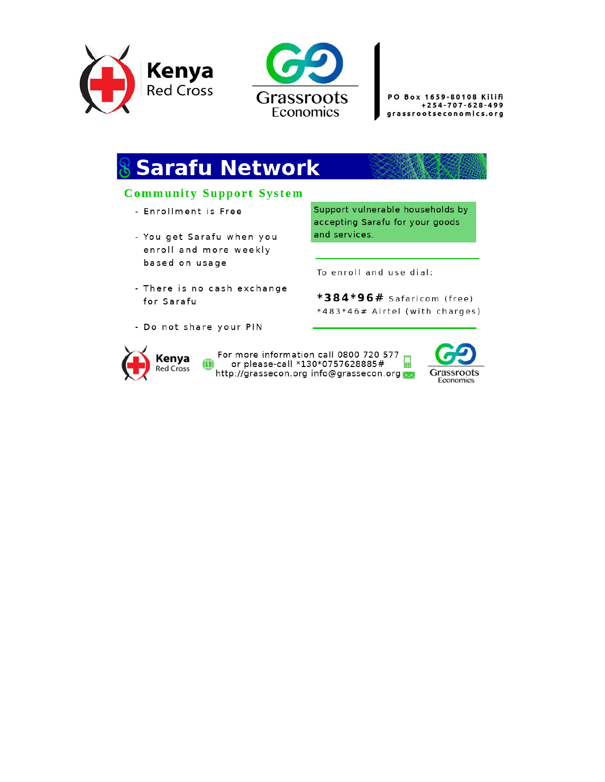



PO Box 1659-80108 Kilifi +254-707-628-499 grassrootseconomics.org

# **& Sarafu Network**

# **Community Support System**

- Enrollment is Free
- You get Sarafu when you enroll and more weekly based on usage
- There is no cash exchange for Sarafu
- Do not share your PIN



For more information call 0800 720 577 or please-call \*130\*0757628885# 닓 http://grassecon.org info@grassecon.org \

Support vulnerable households by accepting Sarafu for your goods and services.

To enroll and use dial:

\*384\*96# Safaricom (free) \*483\*46# Airtel (with charges)

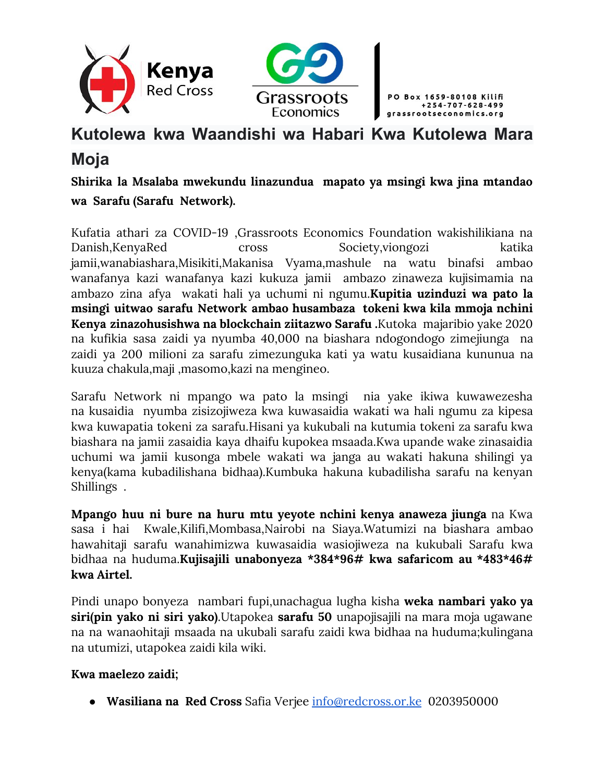



# **Kutolewa kwa Waandishi wa Habari Kwa Kutolewa Mara Moja**

**Shirika la Msalaba mwekundu linazundua mapato ya msingi kwa jina mtandao wa Sarafu (Sarafu Network).**

Kufatia athari za COVID-19 ,Grassroots Economics Foundation wakishilikiana na Danish,KenyaRed cross Society,viongozi katika jamii,wanabiashara,Misikiti,Makanisa Vyama,mashule na watu binafsi ambao wanafanya kazi wanafanya kazi kukuza jamii ambazo zinaweza kujisimamia na ambazo zina afya wakati hali ya uchumi ni ngumu.**Kupitia uzinduzi wa pato la msingi uitwao sarafu Network ambao husambaza tokeni kwa kila mmoja nchini Kenya zinazohusishwa na blockchain ziitazwo Sarafu .**Kutoka majaribio yake 2020 na kufikia sasa zaidi ya nyumba 40,000 na biashara ndogondogo zimejiunga na zaidi ya 200 milioni za sarafu zimezunguka kati ya watu kusaidiana kununua na kuuza chakula,maji ,masomo,kazi na mengineo.

Sarafu Network ni mpango wa pato la msingi nia yake ikiwa kuwawezesha na kusaidia nyumba zisizojiweza kwa kuwasaidia wakati wa hali ngumu za kipesa kwa kuwapatia tokeni za sarafu.Hisani ya kukubali na kutumia tokeni za sarafu kwa biashara na jamii zasaidia kaya dhaifu kupokea msaada.Kwa upande wake zinasaidia uchumi wa jamii kusonga mbele wakati wa janga au wakati hakuna shilingi ya kenya(kama kubadilishana bidhaa).Kumbuka hakuna kubadilisha sarafu na kenyan Shillings .

**Mpango huu ni bure na huru mtu yeyote nchini kenya anaweza jiunga** na Kwa sasa i hai Kwale,Kilifi,Mombasa,Nairobi na Siaya.Watumizi na biashara ambao hawahitaji sarafu wanahimizwa kuwasaidia wasiojiweza na kukubali Sarafu kwa bidhaa na huduma.**Kujisajili unabonyeza \*384\*96# kwa safaricom au \*483\*46# kwa Airtel.**

Pindi unapo bonyeza nambari fupi,unachagua lugha kisha **weka nambari yako ya siri(pin yako ni siri yako)**.Utapokea **sarafu 50** unapojisajili na mara moja ugawane na na wanaohitaji msaada na ukubali sarafu zaidi kwa bidhaa na huduma;kulingana na utumizi, utapokea zaidi kila wiki.

# **Kwa maelezo zaidi;**

● **Wasiliana na Red Cross** Safia Verjee [info@redcross.or.ke](mailto:info@redcross.or.ke) 0203950000